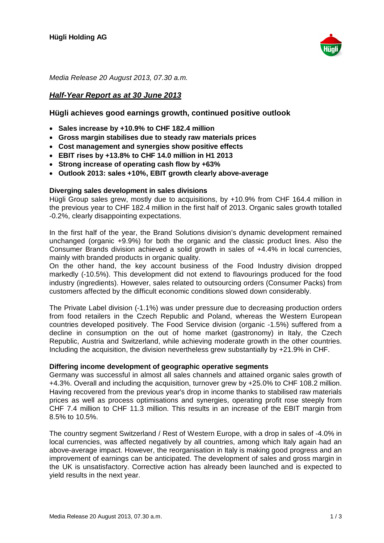

Media Release 20 August 2013, 07.30 a.m.

# **Half-Year Report as at 30 June 2013**

# **Hügli achieves good earnings growth, continued positive outlook**

- � **Sales increase by +10.9% to CHF 182.4 million**
- � **Gross margin stabilises due to steady raw materials prices**
- � **Cost management and synergies show positive effects**
- � **EBIT rises by +13.8% to CHF 14.0 million in H1 2013**
- � **Strong increase of operating cash flow by +63%**
- � **Outlook 2013: sales +10%, EBIT growth clearly above-average**

### **Diverging sales development in sales divisions**

Hügli Group sales grew, mostly due to acquisitions, by +10.9% from CHF 164.4 million in the previous year to CHF 182.4 million in the first half of 2013. Organic sales growth totalled -0.2%, clearly disappointing expectations.

In the first half of the year, the Brand Solutions division's dynamic development remained unchanged (organic +9.9%) for both the organic and the classic product lines. Also the Consumer Brands division achieved a solid growth in sales of +4.4% in local currencies, mainly with branded products in organic quality.

On the other hand, the key account business of the Food Industry division dropped markedly (-10.5%). This development did not extend to flavourings produced for the food industry (ingredients). However, sales related to outsourcing orders (Consumer Packs) from customers affected by the difficult economic conditions slowed down considerably.

The Private Label division (-1.1%) was under pressure due to decreasing production orders from food retailers in the Czech Republic and Poland, whereas the Western European countries developed positively. The Food Service division (organic -1.5%) suffered from a decline in consumption on the out of home market (gastronomy) in Italy, the Czech Republic, Austria and Switzerland, while achieving moderate growth in the other countries. Including the acquisition, the division nevertheless grew substantially by +21.9% in CHF.

### **Differing income development of geographic operative segments**

Germany was successful in almost all sales channels and attained organic sales growth of +4.3%. Overall and including the acquisition, turnover grew by +25.0% to CHF 108.2 million. Having recovered from the previous year's drop in income thanks to stabilised raw materials prices as well as process optimisations and synergies, operating profit rose steeply from CHF 7.4 million to CHF 11.3 million. This results in an increase of the EBIT margin from 8.5% to 10.5%.

The country segment Switzerland / Rest of Western Europe, with a drop in sales of -4.0% in local currencies, was affected negatively by all countries, among which Italy again had an above-average impact. However, the reorganisation in Italy is making good progress and an improvement of earnings can be anticipated. The development of sales and gross margin in the UK is unsatisfactory. Corrective action has already been launched and is expected to yield results in the next year.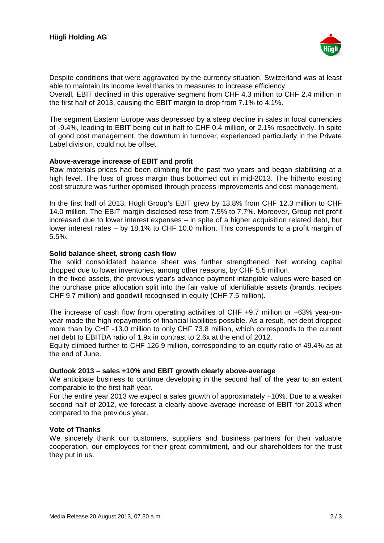

Despite conditions that were aggravated by the currency situation, Switzerland was at least able to maintain its income level thanks to measures to increase efficiency.

Overall, EBIT declined in this operative segment from CHF 4.3 million to CHF 2.4 million in the first half of 2013, causing the EBIT margin to drop from 7.1% to 4.1%.

The segment Eastern Europe was depressed by a steep decline in sales in local currencies of -9.4%, leading to EBIT being cut in half to CHF 0.4 million, or 2.1% respectively. In spite of good cost management, the downturn in turnover, experienced particularly in the Private Label division, could not be offset.

# **Above-average increase of EBIT and profit**

Raw materials prices had been climbing for the past two years and began stabilising at a high level. The loss of gross margin thus bottomed out in mid-2013. The hitherto existing cost structure was further optimised through process improvements and cost management.

In the first half of 2013, Hügli Group's EBIT grew by 13.8% from CHF 12.3 million to CHF 14.0 million. The EBIT margin disclosed rose from 7.5% to 7.7%. Moreover, Group net profit increased due to lower interest expenses – in spite of a higher acquisition related debt, but lower interest rates – by 18.1% to CHF 10.0 million. This corresponds to a profit margin of 5.5%.

# **Solid balance sheet, strong cash flow**

The solid consolidated balance sheet was further strengthened. Net working capital dropped due to lower inventories, among other reasons, by CHF 5.5 million.

In the fixed assets, the previous year's advance payment intangible values were based on the purchase price allocation split into the fair value of identifiable assets (brands, recipes CHF 9.7 million) and goodwill recognised in equity (CHF 7.5 million).

The increase of cash flow from operating activities of CHF +9.7 million or +63% year-onyear made the high repayments of financial liabilities possible. As a result, net debt dropped more than by CHF -13.0 million to only CHF 73.8 million, which corresponds to the current net debt to EBITDA ratio of 1.9x in contrast to 2.6x at the end of 2012.

Equity climbed further to CHF 126.9 million, corresponding to an equity ratio of 49.4% as at the end of June.

### **Outlook 2013 – sales +10% and EBIT growth clearly above-average**

We anticipate business to continue developing in the second half of the year to an extent comparable to the first half-year.

For the entire year 2013 we expect a sales growth of approximately +10%. Due to a weaker second half of 2012, we forecast a clearly above-average increase of EBIT for 2013 when compared to the previous year.

### **Vote of Thanks**

We sincerely thank our customers, suppliers and business partners for their valuable cooperation, our employees for their great commitment, and our shareholders for the trust they put in us.